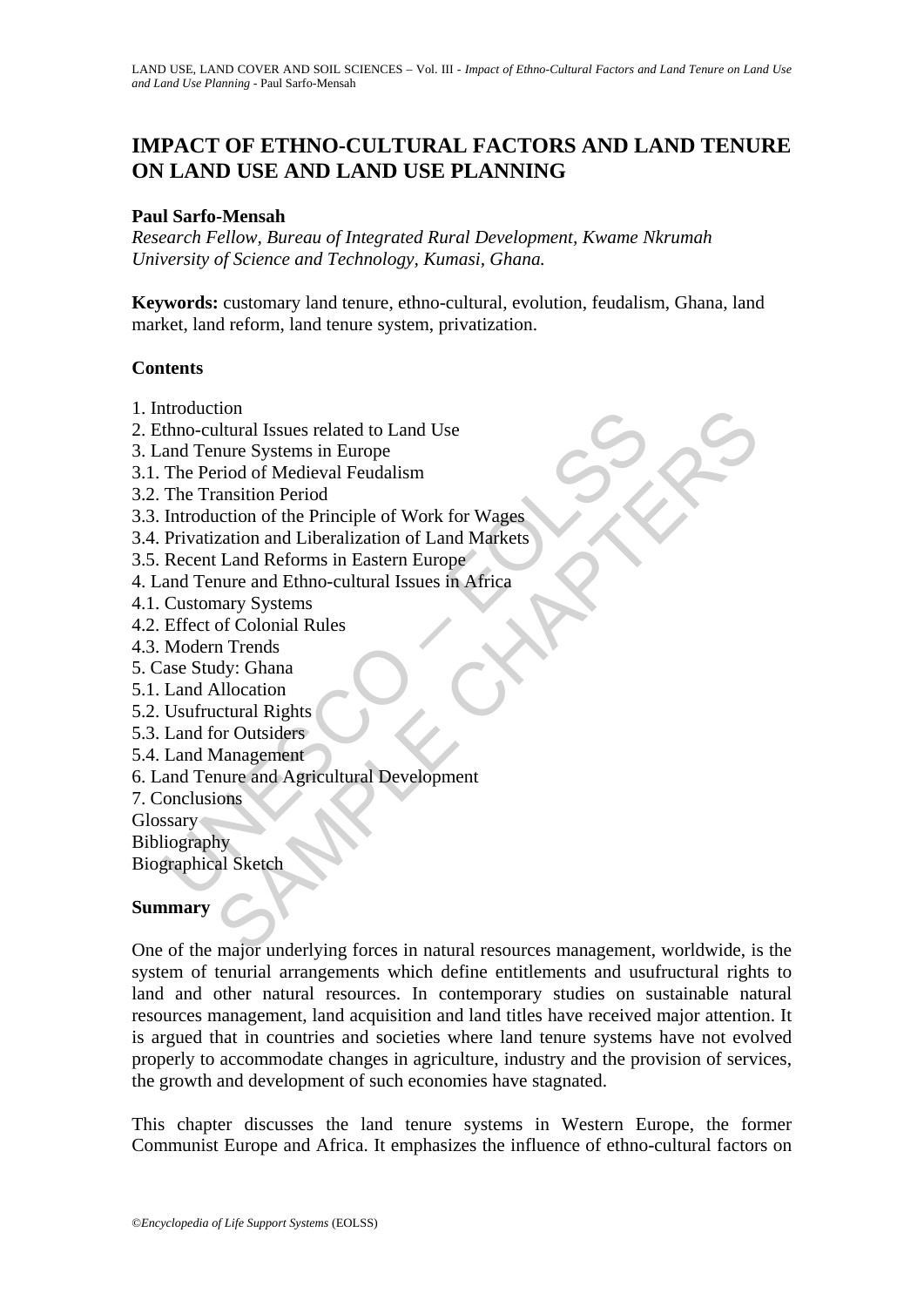# **IMPACT OF ETHNO-CULTURAL FACTORS AND LAND TENURE ON LAND USE AND LAND USE PLANNING**

### **Paul Sarfo-Mensah**

*Research Fellow, Bureau of Integrated Rural Development, Kwame Nkrumah University of Science and Technology, Kumasi, Ghana.* 

**Keywords:** customary land tenure, ethno-cultural, evolution, feudalism, Ghana, land market, land reform, land tenure system, privatization.

### **Contents**

- 1. Introduction
- 2. Ethno-cultural Issues related to Land Use
- 3. Land Tenure Systems in Europe
- 3.1. The Period of Medieval Feudalism
- 3.2. The Transition Period
- Itioutical<br>
and Tenure Systems in Europe<br>
and Tenure Systems in Europe<br>
The Period of Medieval Feudalism<br>
The Transition Period<br>
Introduction of the Principle of Work for Wages<br>
Privatization and Liberalization of Land Mar 3.3. Introduction of the Principle of Work for Wages
- 3.4. Privatization and Liberalization of Land Markets
- 3.5. Recent Land Reforms in Eastern Europe
- 4. Land Tenure and Ethno-cultural Issues in Africa
- 4.1. Customary Systems
- 4.2. Effect of Colonial Rules
- 4.3. Modern Trends
- 5. Case Study: Ghana
- 5.1. Land Allocation
- 5.2. Usufructural Rights
- 5.3. Land for Outsiders
- 5.4. Land Management
- 6. Land Tenure and Agricultural Development
- 7. Conclusions
- Glossary

Bibliography

Biographical Sketch

## **Summary**

tion<br>
thural Issues related to Land Use<br>
nure Systems in Europe<br>
erirod of Medieval Feudalism<br>
cantion of the Principle of Work for Wages<br>
zation and Liberalization of Land Markets<br>
zation and Ethno-cultural Issues in Afri One of the major underlying forces in natural resources management, worldwide, is the system of tenurial arrangements which define entitlements and usufructural rights to land and other natural resources. In contemporary studies on sustainable natural resources management, land acquisition and land titles have received major attention. It is argued that in countries and societies where land tenure systems have not evolved properly to accommodate changes in agriculture, industry and the provision of services, the growth and development of such economies have stagnated.

This chapter discusses the land tenure systems in Western Europe, the former Communist Europe and Africa. It emphasizes the influence of ethno-cultural factors on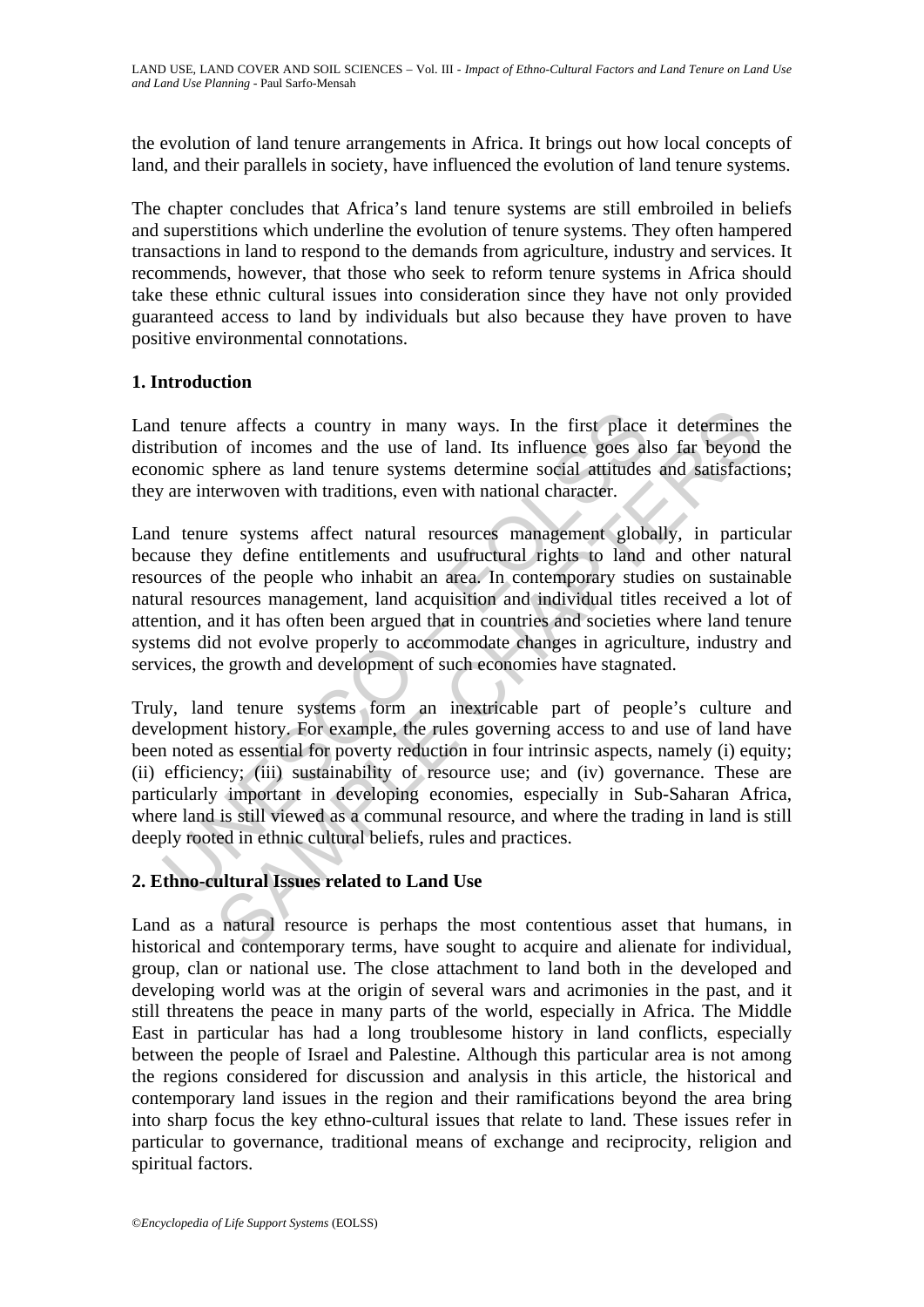the evolution of land tenure arrangements in Africa. It brings out how local concepts of land, and their parallels in society, have influenced the evolution of land tenure systems.

The chapter concludes that Africa's land tenure systems are still embroiled in beliefs and superstitions which underline the evolution of tenure systems. They often hampered transactions in land to respond to the demands from agriculture, industry and services. It recommends, however, that those who seek to reform tenure systems in Africa should take these ethnic cultural issues into consideration since they have not only provided guaranteed access to land by individuals but also because they have proven to have positive environmental connotations.

## **1. Introduction**

Land tenure affects a country in many ways. In the first place it determines the distribution of incomes and the use of land. Its influence goes also far beyond the economic sphere as land tenure systems determine social attitudes and satisfactions; they are interwoven with traditions, even with national character.

Land tenure systems affect natural resources management globally, in particular because they define entitlements and usufructural rights to land and other natural resources of the people who inhabit an area. In contemporary studies on sustainable natural resources management, land acquisition and individual titles received a lot of attention, and it has often been argued that in countries and societies where land tenure systems did not evolve properly to accommodate changes in agriculture, industry and services, the growth and development of such economies have stagnated.

d tenure affects a country in many ways. In the first place<br>ribution of incomes and the use of land. Its influence goes al<br>aomic sphere as land tenure systems determine social attitudes<br>are interwoven with traditions, even re affects a country in many ways. In the first place it determines<br>of incomes and the use of land. Its influence goes also far beyond<br>sphere as land tenure systems determine social attitudes and satisfacti<br>rerwoven with t Truly, land tenure systems form an inextricable part of people's culture and development history. For example, the rules governing access to and use of land have been noted as essential for poverty reduction in four intrinsic aspects, namely (i) equity; (ii) efficiency; (iii) sustainability of resource use; and (iv) governance. These are particularly important in developing economies, especially in Sub-Saharan Africa, where land is still viewed as a communal resource, and where the trading in land is still deeply rooted in ethnic cultural beliefs, rules and practices.

## **2. Ethno-cultural Issues related to Land Use**

Land as a natural resource is perhaps the most contentious asset that humans, in historical and contemporary terms, have sought to acquire and alienate for individual, group, clan or national use. The close attachment to land both in the developed and developing world was at the origin of several wars and acrimonies in the past, and it still threatens the peace in many parts of the world, especially in Africa. The Middle East in particular has had a long troublesome history in land conflicts, especially between the people of Israel and Palestine. Although this particular area is not among the regions considered for discussion and analysis in this article, the historical and contemporary land issues in the region and their ramifications beyond the area bring into sharp focus the key ethno-cultural issues that relate to land. These issues refer in particular to governance, traditional means of exchange and reciprocity, religion and spiritual factors.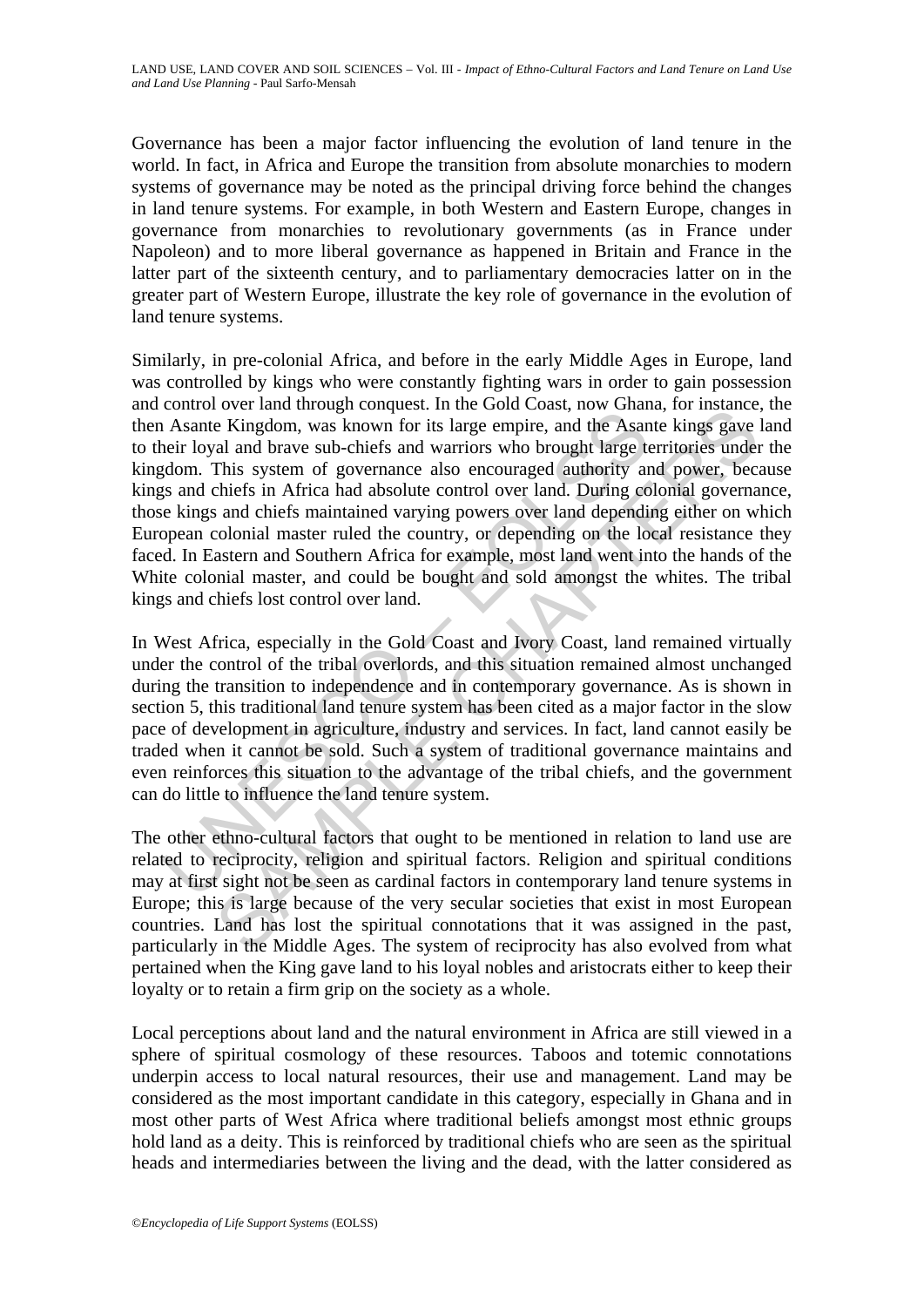Governance has been a major factor influencing the evolution of land tenure in the world. In fact, in Africa and Europe the transition from absolute monarchies to modern systems of governance may be noted as the principal driving force behind the changes in land tenure systems. For example, in both Western and Eastern Europe, changes in governance from monarchies to revolutionary governments (as in France under Napoleon) and to more liberal governance as happened in Britain and France in the latter part of the sixteenth century, and to parliamentary democracies latter on in the greater part of Western Europe, illustrate the key role of governance in the evolution of land tenure systems.

Commute of the mand anough teorigion. In the content of the destate of the Asante Kingdom, was known for its large empire, and the Asanteir loyal and brave sub-chiefs and warriors who brought large to deform. This system o over and unough conducts. In the Good Coast, two what a for the Ringdom, was known for its large empire, and the Asante kings gave all and brave sub-chiefs and warriors who brought large territories under<br>This system of go Similarly, in pre-colonial Africa, and before in the early Middle Ages in Europe, land was controlled by kings who were constantly fighting wars in order to gain possession and control over land through conquest. In the Gold Coast, now Ghana, for instance, the then Asante Kingdom, was known for its large empire, and the Asante kings gave land to their loyal and brave sub-chiefs and warriors who brought large territories under the kingdom. This system of governance also encouraged authority and power, because kings and chiefs in Africa had absolute control over land. During colonial governance, those kings and chiefs maintained varying powers over land depending either on which European colonial master ruled the country, or depending on the local resistance they faced. In Eastern and Southern Africa for example, most land went into the hands of the White colonial master, and could be bought and sold amongst the whites. The tribal kings and chiefs lost control over land.

In West Africa, especially in the Gold Coast and Ivory Coast, land remained virtually under the control of the tribal overlords, and this situation remained almost unchanged during the transition to independence and in contemporary governance. As is shown in section 5, this traditional land tenure system has been cited as a major factor in the slow pace of development in agriculture, industry and services. In fact, land cannot easily be traded when it cannot be sold. Such a system of traditional governance maintains and even reinforces this situation to the advantage of the tribal chiefs, and the government can do little to influence the land tenure system.

The other ethno-cultural factors that ought to be mentioned in relation to land use are related to reciprocity, religion and spiritual factors. Religion and spiritual conditions may at first sight not be seen as cardinal factors in contemporary land tenure systems in Europe; this is large because of the very secular societies that exist in most European countries. Land has lost the spiritual connotations that it was assigned in the past, particularly in the Middle Ages. The system of reciprocity has also evolved from what pertained when the King gave land to his loyal nobles and aristocrats either to keep their loyalty or to retain a firm grip on the society as a whole.

Local perceptions about land and the natural environment in Africa are still viewed in a sphere of spiritual cosmology of these resources. Taboos and totemic connotations underpin access to local natural resources, their use and management. Land may be considered as the most important candidate in this category, especially in Ghana and in most other parts of West Africa where traditional beliefs amongst most ethnic groups hold land as a deity. This is reinforced by traditional chiefs who are seen as the spiritual heads and intermediaries between the living and the dead, with the latter considered as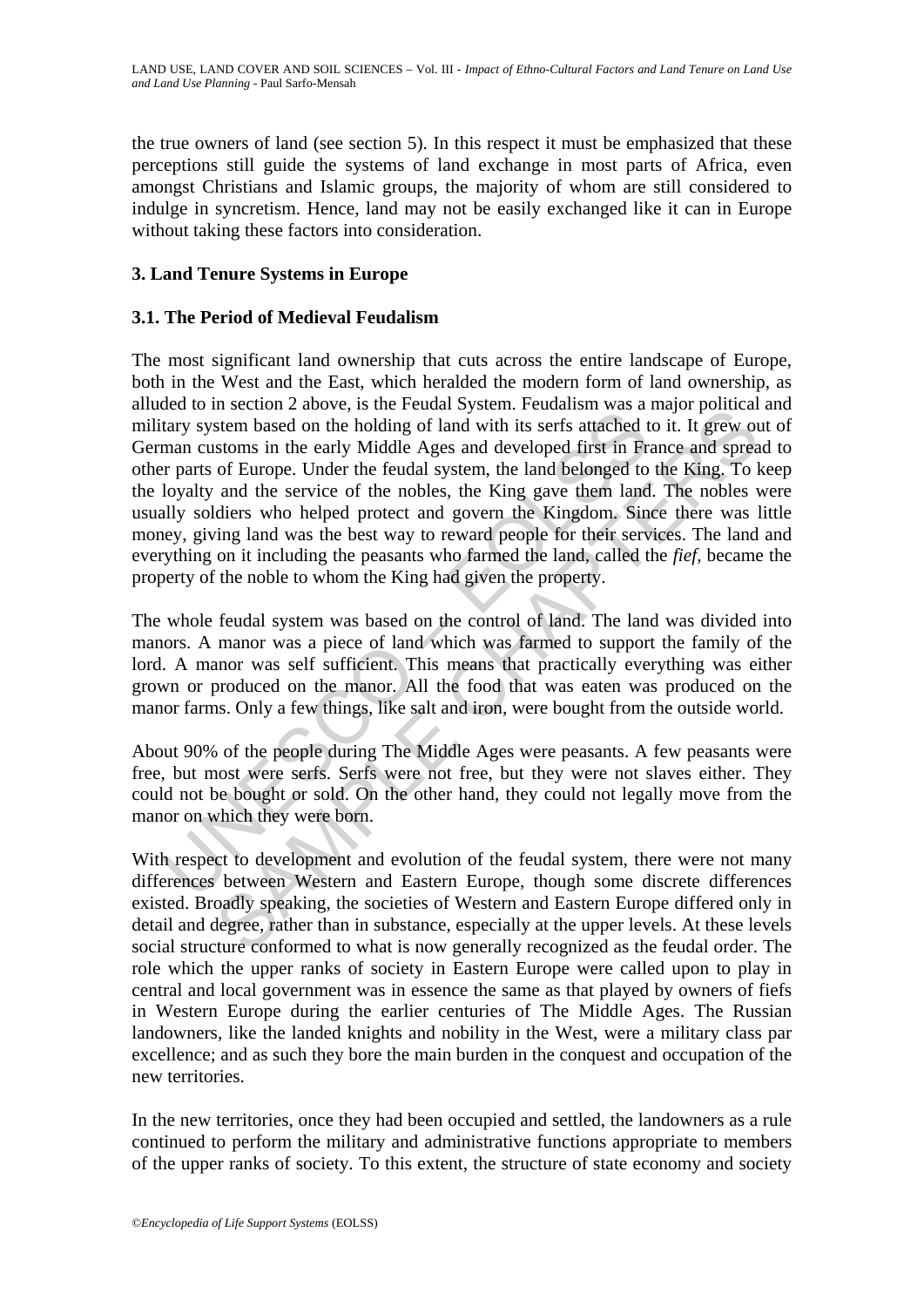the true owners of land (see section 5). In this respect it must be emphasized that these perceptions still guide the systems of land exchange in most parts of Africa, even amongst Christians and Islamic groups, the majority of whom are still considered to indulge in syncretism. Hence, land may not be easily exchanged like it can in Europe without taking these factors into consideration.

## **3. Land Tenure Systems in Europe**

## **3.1. The Period of Medieval Feudalism**

extrain the section and the feature of the relation of states are in the serts attached to the states hased on the holding of land with its serfs attached the process of Europe. Under the feudal system, the land belonged t is secure 2 above, is in extending system. I redualism was a major pondicant<br>is stem based on the holding of land with its serfs attached to it. It grew or<br>stoms in the early Middle Ages and developed first in France and s The most significant land ownership that cuts across the entire landscape of Europe, both in the West and the East, which heralded the modern form of land ownership, as alluded to in section 2 above, is the Feudal System. Feudalism was a major political and military system based on the holding of land with its serfs attached to it. It grew out of German customs in the early Middle Ages and developed first in France and spread to other parts of Europe. Under the feudal system, the land belonged to the King. To keep the loyalty and the service of the nobles, the King gave them land. The nobles were usually soldiers who helped protect and govern the Kingdom. Since there was little money, giving land was the best way to reward people for their services. The land and everything on it including the peasants who farmed the land, called the *fief,* became the property of the noble to whom the King had given the property.

The whole feudal system was based on the control of land. The land was divided into manors. A manor was a piece of land which was farmed to support the family of the lord. A manor was self sufficient. This means that practically everything was either grown or produced on the manor. All the food that was eaten was produced on the manor farms. Only a few things, like salt and iron, were bought from the outside world.

About 90% of the people during The Middle Ages were peasants. A few peasants were free, but most were serfs. Serfs were not free, but they were not slaves either. They could not be bought or sold. On the other hand, they could not legally move from the manor on which they were born.

With respect to development and evolution of the feudal system, there were not many differences between Western and Eastern Europe, though some discrete differences existed. Broadly speaking, the societies of Western and Eastern Europe differed only in detail and degree, rather than in substance, especially at the upper levels. At these levels social structure conformed to what is now generally recognized as the feudal order. The role which the upper ranks of society in Eastern Europe were called upon to play in central and local government was in essence the same as that played by owners of fiefs in Western Europe during the earlier centuries of The Middle Ages. The Russian landowners, like the landed knights and nobility in the West, were a military class par excellence; and as such they bore the main burden in the conquest and occupation of the new territories.

In the new territories, once they had been occupied and settled, the landowners as a rule continued to perform the military and administrative functions appropriate to members of the upper ranks of society. To this extent, the structure of state economy and society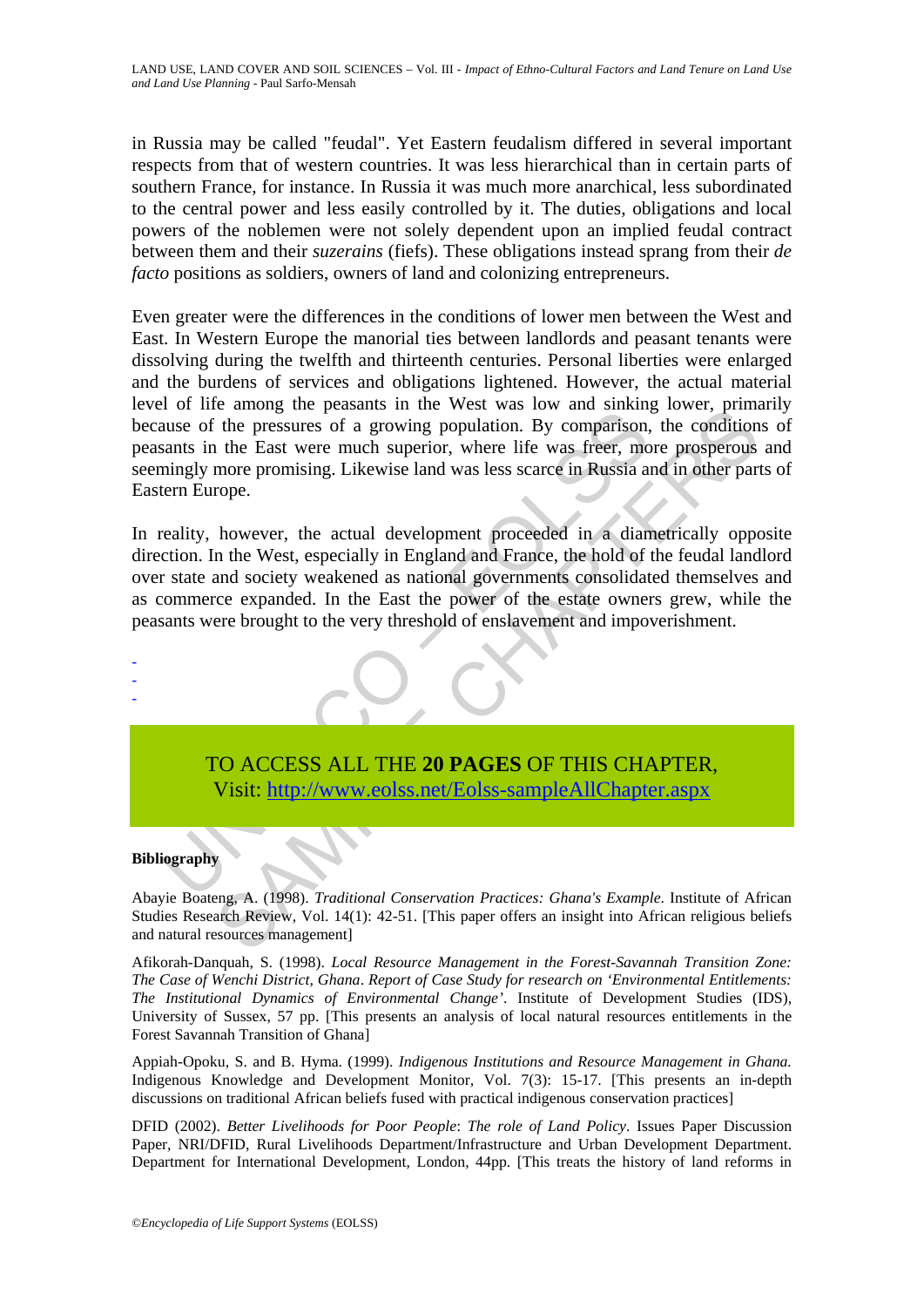in Russia may be called "feudal". Yet Eastern feudalism differed in several important respects from that of western countries. It was less hierarchical than in certain parts of southern France, for instance. In Russia it was much more anarchical, less subordinated to the central power and less easily controlled by it. The duties, obligations and local powers of the noblemen were not solely dependent upon an implied feudal contract between them and their *suzerains* (fiefs). These obligations instead sprang from their *de facto* positions as soldiers, owners of land and colonizing entrepreneurs.

Even greater were the differences in the conditions of lower men between the West and East. In Western Europe the manorial ties between landlords and peasant tenants were dissolving during the twelfth and thirteenth centuries. Personal liberties were enlarged and the burdens of services and obligations lightened. However, the actual material level of life among the peasants in the West was low and sinking lower, primarily because of the pressures of a growing population. By comparison, the conditions of peasants in the East were much superior, where life was freer, more prosperous and seemingly more promising. Likewise land was less scarce in Russia and in other parts of Eastern Europe.

For the tanning the peasures of a growing population. By comparison,<br>and so the pressures of a growing population. By comparison,<br>and sin the East were much superior, where life was freer, mo<br>mingly more promising. Likewis Later and the pressures of a growing population. By comparison, the condition<br>the pressures of a growing population. By comparison, the condition<br>in the East were much superior, where life was freer, more prosperous<br>more p In reality, however, the actual development proceeded in a diametrically opposite direction. In the West, especially in England and France, the hold of the feudal landlord over state and society weakened as national governments consolidated themselves and as commerce expanded. In the East the power of the estate owners grew, while the peasants were brought to the very threshold of enslavement and impoverishment.



### **Bibliography**

- - -

Abayie Boateng, A. (1998). *Traditional Conservation Practices: Ghana's Example*. Institute of African Studies Research Review, Vol. 14(1): 42-51. [This paper offers an insight into African religious beliefs and natural resources management]

Afikorah-Danquah, S. (1998). *Local Resource Management in the Forest-Savannah Transition Zone: The Case of Wenchi District, Ghana*. *Report of Case Study for research on 'Environmental Entitlements: The Institutional Dynamics of Environmental Change'*. Institute of Development Studies (IDS), University of Sussex, 57 pp. [This presents an analysis of local natural resources entitlements in the Forest Savannah Transition of Ghana]

Appiah-Opoku, S. and B. Hyma. (1999). *Indigenous Institutions and Resource Management in Ghana.*  Indigenous Knowledge and Development Monitor*,* Vol. 7(3): 15-17. [This presents an in-depth discussions on traditional African beliefs fused with practical indigenous conservation practices]

DFID (2002). *Better Livelihoods for Poor People*: *The role of Land Policy*. Issues Paper Discussion Paper, NRI/DFID, Rural Livelihoods Department/Infrastructure and Urban Development Department. Department for International Development, London, 44pp. [This treats the history of land reforms in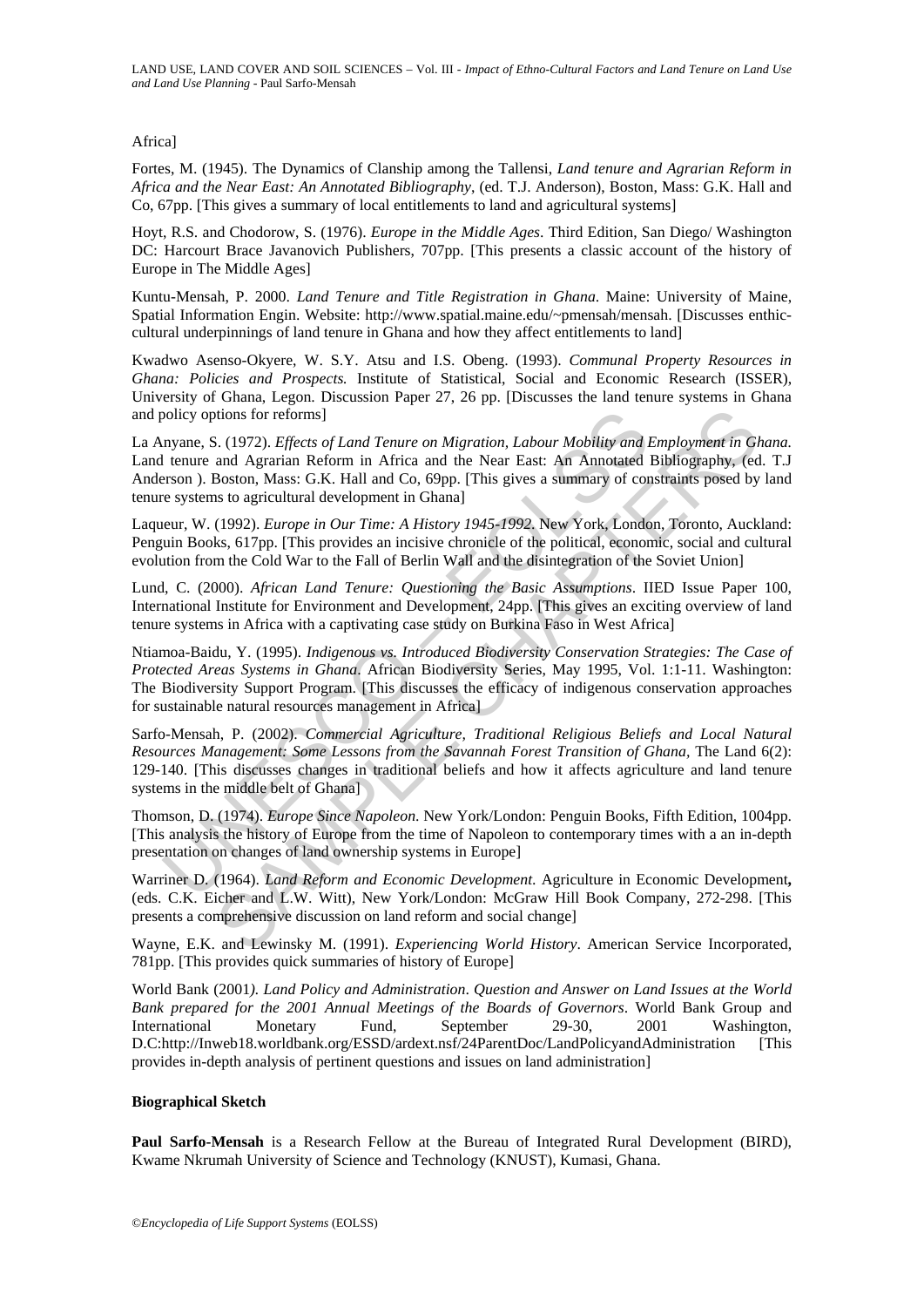#### Africa]

Fortes, M. (1945). The Dynamics of Clanship among the Tallensi, *Land tenure and Agrarian Reform in Africa and the Near East: An Annotated Bibliography*, (ed. T.J. Anderson), Boston, Mass: G.K. Hall and Co, 67pp. [This gives a summary of local entitlements to land and agricultural systems]

Hoyt, R.S. and Chodorow, S. (1976). *Europe in the Middle Ages*. Third Edition, San Diego/ Washington DC: Harcourt Brace Javanovich Publishers, 707pp. [This presents a classic account of the history of Europe in The Middle Ages]

Kuntu-Mensah, P. 2000. *Land Tenure and Title Registration in Ghana*. Maine: University of Maine, Spatial Information Engin. Website: http://www.spatial.maine.edu/~pmensah/mensah. [Discusses enthiccultural underpinnings of land tenure in Ghana and how they affect entitlements to land]

Kwadwo Asenso-Okyere, W. S.Y. Atsu and I.S. Obeng. (1993). *Communal Property Resources in Ghana: Policies and Prospects.* Institute of Statistical, Social and Economic Research (ISSER), University of Ghana, Legon. Discussion Paper 27, 26 pp. [Discusses the land tenure systems in Ghana and policy options for reforms]

policy options for reforms]<br>
myane, S. (1972). *Effects of Land Tenure on Migration*, *Labour Mobility and* I tenure and Agrarian Reform in Africa and the Near East: An Annotated I<br>
tenure and Agrarian Reform in Africa and orions for reforms]<br>
SA (1972). *Effects of Land Tenure on Migration, Labour Mobility and Employment in GA*<br>
Boston, Mass: G.K. Hall and Co, 69pp. [This gives a summary of constraints posed by<br>
Boston, Mass: G.K. Hall and La Anyane, S. (1972). *Effects of Land Tenure on Migration, Labour Mobility and Employment in Ghana.* Land tenure and Agrarian Reform in Africa and the Near East: An Annotated Bibliography, (ed. T.J Anderson ). Boston, Mass: G.K. Hall and Co, 69pp. [This gives a summary of constraints posed by land tenure systems to agricultural development in Ghana]

Laqueur, W. (1992). *Europe in Our Time: A History 1945-1992*. New York, London, Toronto, Auckland: Penguin Books, 617pp. [This provides an incisive chronicle of the political, economic, social and cultural evolution from the Cold War to the Fall of Berlin Wall and the disintegration of the Soviet Union]

Lund, C. (2000). *African Land Tenure: Questioning the Basic Assumptions*. IIED Issue Paper 100, International Institute for Environment and Development, 24pp. [This gives an exciting overview of land tenure systems in Africa with a captivating case study on Burkina Faso in West Africa]

Ntiamoa-Baidu, Y. (1995). *Indigenous vs. Introduced Biodiversity Conservation Strategies: The Case of Protected Areas Systems in Ghana*. African Biodiversity Series, May 1995, Vol. 1:1-11. Washington: The Biodiversity Support Program. [This discusses the efficacy of indigenous conservation approaches for sustainable natural resources management in Africa]

Sarfo-Mensah, P. (2002). *Commercial Agriculture, Traditional Religious Beliefs and Local Natural Resources Management: Some Lessons from the Savannah Forest Transition of Ghana,* The Land 6(2): 129-140. [This discusses changes in traditional beliefs and how it affects agriculture and land tenure systems in the middle belt of Ghana]

Thomson, D. (1974). *Europe Since Napoleon*. New York/London: Penguin Books, Fifth Edition, 1004pp. [This analysis the history of Europe from the time of Napoleon to contemporary times with a an in-depth presentation on changes of land ownership systems in Europe]

Warriner D. (1964). *Land Reform and Economic Development*. Agriculture in Economic Development**,** (eds. C.K. Eicher and L.W. Witt), New York/London: McGraw Hill Book Company, 272-298. [This presents a comprehensive discussion on land reform and social change]

Wayne, E.K. and Lewinsky M. (1991). *Experiencing World History*. American Service Incorporated, 781pp. [This provides quick summaries of history of Europe]

World Bank (2001*). Land Policy and Administration*. *Question and Answer on Land Issues at the World Bank prepared for the 2001 Annual Meetings of the Boards of Governors*. World Bank Group and International Monetary Fund, September 29-30, 2001 Washington, D.C:http://Inweb18.worldbank.org/ESSD/ardext.nsf/24ParentDoc/LandPolicyandAdministration [This provides in-depth analysis of pertinent questions and issues on land administration]

#### **Biographical Sketch**

**Paul Sarfo-Mensah** is a Research Fellow at the Bureau of Integrated Rural Development (BIRD), Kwame Nkrumah University of Science and Technology (KNUST), Kumasi, Ghana.